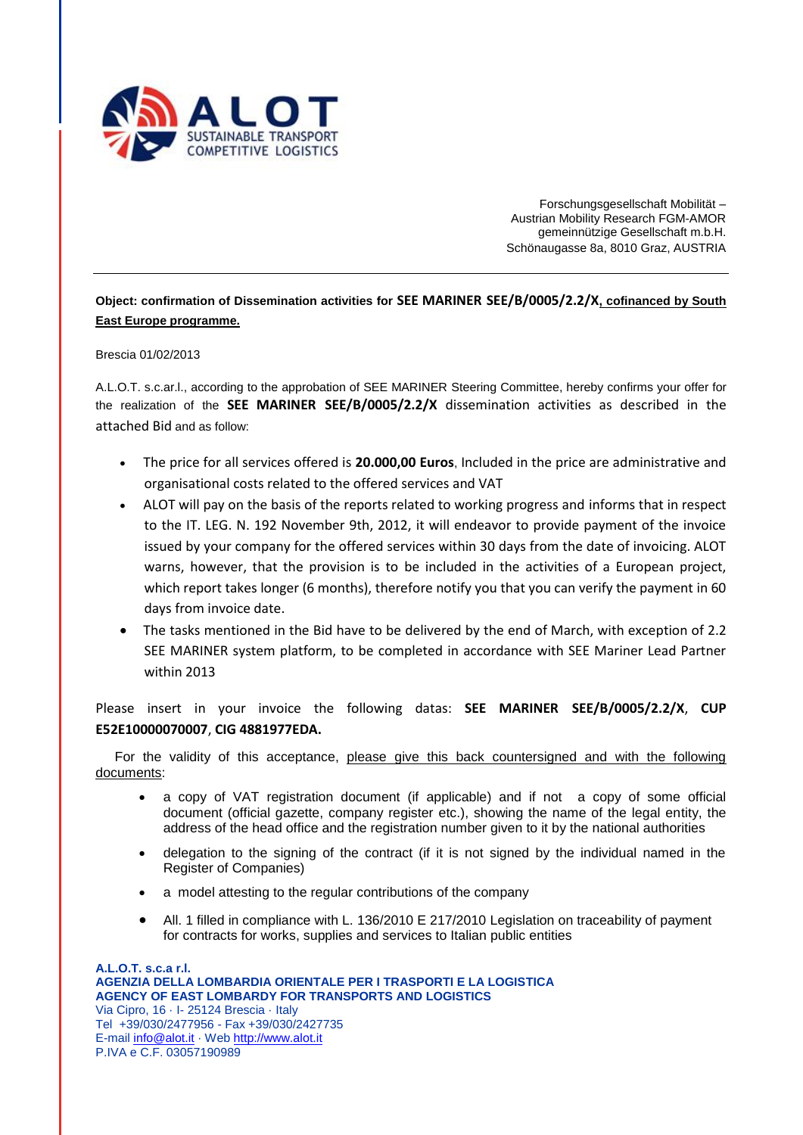

Forschungsgesellschaft Mobilität – Austrian Mobility Research FGM-AMOR gemeinnützige Gesellschaft m.b.H. Schönaugasse 8a, 8010 Graz, AUSTRIA

**Object: confirmation of Dissemination activities for SEE MARINER SEE/B/0005/2.2/X, cofinanced by South East Europe programme.**

## Brescia 01/02/2013

A.L.O.T. s.c.ar.l., according to the approbation of SEE MARINER Steering Committee, hereby confirms your offer for the realization of the **SEE MARINER SEE/B/0005/2.2/X** dissemination activities as described in the attached Bid and as follow:

- The price for all services offered is **20.000,00 Euros**, Included in the price are administrative and organisational costs related to the offered services and VAT
- ALOT will pay on the basis of the reports related to working progress and informs that in respect to the IT. LEG. N. 192 November 9th, 2012, it will endeavor to provide payment of the invoice issued by your company for the offered services within 30 days from the date of invoicing. ALOT warns, however, that the provision is to be included in the activities of a European project, which report takes longer (6 months), therefore notify you that you can verify the payment in 60 days from invoice date.
- The tasks mentioned in the Bid have to be delivered by the end of March, with exception of 2.2 SEE MARINER system platform, to be completed in accordance with SEE Mariner Lead Partner within 2013

Please insert in your invoice the following datas: **SEE MARINER SEE/B/0005/2.2/X**, **CUP E52E10000070007**, **CIG 4881977EDA.**

For the validity of this acceptance, please give this back countersigned and with the following documents:

- a copy of VAT registration document (if applicable) and if not a copy of some official document (official gazette, company register etc.), showing the name of the legal entity, the address of the head office and the registration number given to it by the national authorities
- delegation to the signing of the contract (if it is not signed by the individual named in the Register of Companies)
- a model attesting to the regular contributions of the company
- All. 1 filled in compliance with L. 136/2010 E 217/2010 Legislation on traceability of payment for contracts for works, supplies and services to Italian public entities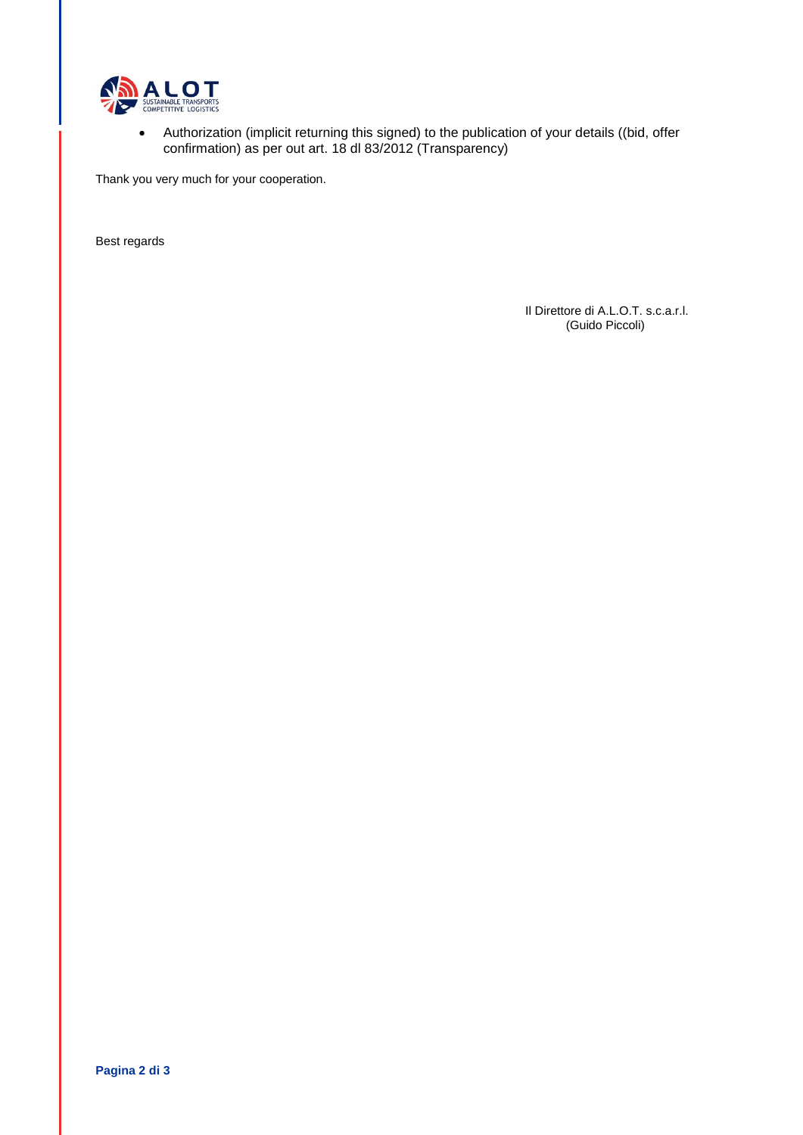

 Authorization (implicit returning this signed) to the publication of your details ((bid, offer confirmation) as per out art. 18 dl 83/2012 (Transparency)

Thank you very much for your cooperation.

Best regards

Il Direttore di A.L.O.T. s.c.a.r.l. (Guido Piccoli)